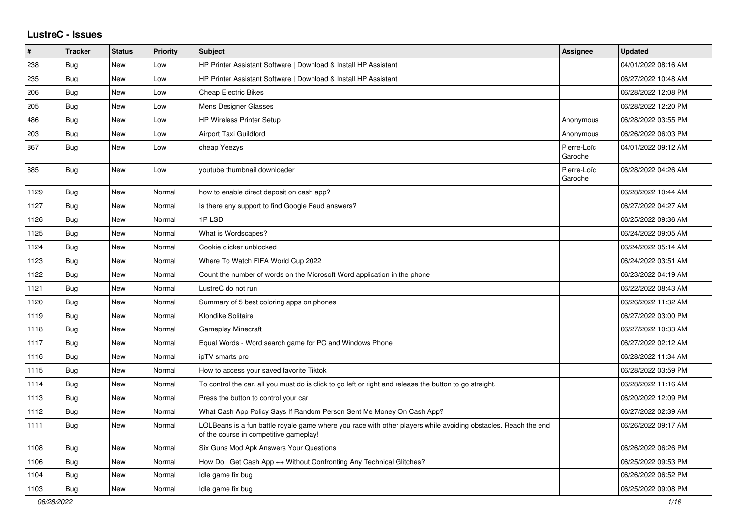## **LustreC - Issues**

| $\vert$ # | <b>Tracker</b> | <b>Status</b> | <b>Priority</b> | <b>Subject</b>                                                                                                                                           | <b>Assignee</b>        | <b>Updated</b>      |
|-----------|----------------|---------------|-----------------|----------------------------------------------------------------------------------------------------------------------------------------------------------|------------------------|---------------------|
| 238       | Bug            | New           | Low             | HP Printer Assistant Software   Download & Install HP Assistant                                                                                          |                        | 04/01/2022 08:16 AM |
| 235       | Bug            | New           | Low             | HP Printer Assistant Software   Download & Install HP Assistant                                                                                          |                        | 06/27/2022 10:48 AM |
| 206       | Bug            | New           | Low             | <b>Cheap Electric Bikes</b>                                                                                                                              |                        | 06/28/2022 12:08 PM |
| 205       | Bug            | New           | Low             | Mens Designer Glasses                                                                                                                                    |                        | 06/28/2022 12:20 PM |
| 486       | <b>Bug</b>     | New           | Low             | <b>HP Wireless Printer Setup</b>                                                                                                                         | Anonymous              | 06/28/2022 03:55 PM |
| 203       | <b>Bug</b>     | New           | Low             | <b>Airport Taxi Guildford</b>                                                                                                                            | Anonymous              | 06/26/2022 06:03 PM |
| 867       | Bug            | <b>New</b>    | Low             | cheap Yeezys                                                                                                                                             | Pierre-Loïc<br>Garoche | 04/01/2022 09:12 AM |
| 685       | Bug            | <b>New</b>    | Low             | voutube thumbnail downloader                                                                                                                             | Pierre-Loïc<br>Garoche | 06/28/2022 04:26 AM |
| 1129      | <b>Bug</b>     | <b>New</b>    | Normal          | how to enable direct deposit on cash app?                                                                                                                |                        | 06/28/2022 10:44 AM |
| 1127      | Bug            | <b>New</b>    | Normal          | Is there any support to find Google Feud answers?                                                                                                        |                        | 06/27/2022 04:27 AM |
| 1126      | Bug            | New           | Normal          | 1PLSD                                                                                                                                                    |                        | 06/25/2022 09:36 AM |
| 1125      | Bug            | New           | Normal          | What is Wordscapes?                                                                                                                                      |                        | 06/24/2022 09:05 AM |
| 1124      | Bug            | New           | Normal          | Cookie clicker unblocked                                                                                                                                 |                        | 06/24/2022 05:14 AM |
| 1123      | Bug            | New           | Normal          | Where To Watch FIFA World Cup 2022                                                                                                                       |                        | 06/24/2022 03:51 AM |
| 1122      | Bug            | New           | Normal          | Count the number of words on the Microsoft Word application in the phone                                                                                 |                        | 06/23/2022 04:19 AM |
| 1121      | <b>Bug</b>     | New           | Normal          | LustreC do not run                                                                                                                                       |                        | 06/22/2022 08:43 AM |
| 1120      | <b>Bug</b>     | New           | Normal          | Summary of 5 best coloring apps on phones                                                                                                                |                        | 06/26/2022 11:32 AM |
| 1119      | Bug            | New           | Normal          | Klondike Solitaire                                                                                                                                       |                        | 06/27/2022 03:00 PM |
| 1118      | <b>Bug</b>     | <b>New</b>    | Normal          | <b>Gameplay Minecraft</b>                                                                                                                                |                        | 06/27/2022 10:33 AM |
| 1117      | <b>Bug</b>     | New           | Normal          | Equal Words - Word search game for PC and Windows Phone                                                                                                  |                        | 06/27/2022 02:12 AM |
| 1116      | Bug            | New           | Normal          | ipTV smarts pro                                                                                                                                          |                        | 06/28/2022 11:34 AM |
| 1115      | <b>Bug</b>     | New           | Normal          | How to access your saved favorite Tiktok                                                                                                                 |                        | 06/28/2022 03:59 PM |
| 1114      | <b>Bug</b>     | New           | Normal          | To control the car, all you must do is click to go left or right and release the button to go straight.                                                  |                        | 06/28/2022 11:16 AM |
| 1113      | Bug            | New           | Normal          | Press the button to control your car                                                                                                                     |                        | 06/20/2022 12:09 PM |
| 1112      | Bug            | New           | Normal          | What Cash App Policy Says If Random Person Sent Me Money On Cash App?                                                                                    |                        | 06/27/2022 02:39 AM |
| 1111      | <b>Bug</b>     | <b>New</b>    | Normal          | LOLBeans is a fun battle royale game where you race with other players while avoiding obstacles. Reach the end<br>of the course in competitive gameplay! |                        | 06/26/2022 09:17 AM |
| 1108      | Bug            | New           | Normal          | Six Guns Mod Apk Answers Your Questions                                                                                                                  |                        | 06/26/2022 06:26 PM |
| 1106      | <b>Bug</b>     | <b>New</b>    | Normal          | How Do I Get Cash App ++ Without Confronting Any Technical Glitches?                                                                                     |                        | 06/25/2022 09:53 PM |
| 1104      | <b>Bug</b>     | New           | Normal          | ldle game fix bug                                                                                                                                        |                        | 06/26/2022 06:52 PM |
| 1103      | Bug            | <b>New</b>    | Normal          | Idle game fix bug                                                                                                                                        |                        | 06/25/2022 09:08 PM |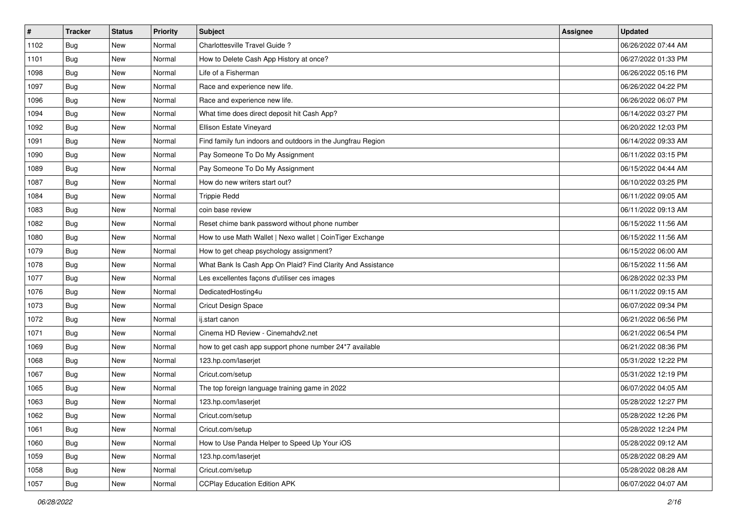| $\vert$ # | <b>Tracker</b> | <b>Status</b> | <b>Priority</b> | Subject                                                     | <b>Assignee</b> | <b>Updated</b>      |
|-----------|----------------|---------------|-----------------|-------------------------------------------------------------|-----------------|---------------------|
| 1102      | <b>Bug</b>     | New           | Normal          | Charlottesville Travel Guide ?                              |                 | 06/26/2022 07:44 AM |
| 1101      | Bug            | New           | Normal          | How to Delete Cash App History at once?                     |                 | 06/27/2022 01:33 PM |
| 1098      | Bug            | New           | Normal          | Life of a Fisherman                                         |                 | 06/26/2022 05:16 PM |
| 1097      | <b>Bug</b>     | New           | Normal          | Race and experience new life.                               |                 | 06/26/2022 04:22 PM |
| 1096      | Bug            | <b>New</b>    | Normal          | Race and experience new life.                               |                 | 06/26/2022 06:07 PM |
| 1094      | <b>Bug</b>     | New           | Normal          | What time does direct deposit hit Cash App?                 |                 | 06/14/2022 03:27 PM |
| 1092      | Bug            | New           | Normal          | Ellison Estate Vineyard                                     |                 | 06/20/2022 12:03 PM |
| 1091      | <b>Bug</b>     | New           | Normal          | Find family fun indoors and outdoors in the Jungfrau Region |                 | 06/14/2022 09:33 AM |
| 1090      | <b>Bug</b>     | New           | Normal          | Pay Someone To Do My Assignment                             |                 | 06/11/2022 03:15 PM |
| 1089      | Bug            | <b>New</b>    | Normal          | Pay Someone To Do My Assignment                             |                 | 06/15/2022 04:44 AM |
| 1087      | Bug            | New           | Normal          | How do new writers start out?                               |                 | 06/10/2022 03:25 PM |
| 1084      | Bug            | New           | Normal          | <b>Trippie Redd</b>                                         |                 | 06/11/2022 09:05 AM |
| 1083      | Bug            | New           | Normal          | coin base review                                            |                 | 06/11/2022 09:13 AM |
| 1082      | Bug            | New           | Normal          | Reset chime bank password without phone number              |                 | 06/15/2022 11:56 AM |
| 1080      | Bug            | New           | Normal          | How to use Math Wallet   Nexo wallet   CoinTiger Exchange   |                 | 06/15/2022 11:56 AM |
| 1079      | Bug            | New           | Normal          | How to get cheap psychology assignment?                     |                 | 06/15/2022 06:00 AM |
| 1078      | <b>Bug</b>     | New           | Normal          | What Bank Is Cash App On Plaid? Find Clarity And Assistance |                 | 06/15/2022 11:56 AM |
| 1077      | Bug            | <b>New</b>    | Normal          | Les excellentes façons d'utiliser ces images                |                 | 06/28/2022 02:33 PM |
| 1076      | <b>Bug</b>     | New           | Normal          | DedicatedHosting4u                                          |                 | 06/11/2022 09:15 AM |
| 1073      | <b>Bug</b>     | New           | Normal          | Cricut Design Space                                         |                 | 06/07/2022 09:34 PM |
| 1072      | Bug            | New           | Normal          | ij.start canon                                              |                 | 06/21/2022 06:56 PM |
| 1071      | <b>Bug</b>     | New           | Normal          | Cinema HD Review - Cinemahdv2.net                           |                 | 06/21/2022 06:54 PM |
| 1069      | Bug            | <b>New</b>    | Normal          | how to get cash app support phone number 24*7 available     |                 | 06/21/2022 08:36 PM |
| 1068      | Bug            | New           | Normal          | 123.hp.com/laserjet                                         |                 | 05/31/2022 12:22 PM |
| 1067      | Bug            | New           | Normal          | Cricut.com/setup                                            |                 | 05/31/2022 12:19 PM |
| 1065      | Bug            | New           | Normal          | The top foreign language training game in 2022              |                 | 06/07/2022 04:05 AM |
| 1063      | <b>Bug</b>     | New           | Normal          | 123.hp.com/laserjet                                         |                 | 05/28/2022 12:27 PM |
| 1062      | <b>Bug</b>     | New           | Normal          | Cricut.com/setup                                            |                 | 05/28/2022 12:26 PM |
| 1061      | Bug            | New           | Normal          | Cricut.com/setup                                            |                 | 05/28/2022 12:24 PM |
| 1060      | Bug            | New           | Normal          | How to Use Panda Helper to Speed Up Your iOS                |                 | 05/28/2022 09:12 AM |
| 1059      | Bug            | New           | Normal          | 123.hp.com/laserjet                                         |                 | 05/28/2022 08:29 AM |
| 1058      | <b>Bug</b>     | New           | Normal          | Cricut.com/setup                                            |                 | 05/28/2022 08:28 AM |
| 1057      | <b>Bug</b>     | New           | Normal          | <b>CCPlay Education Edition APK</b>                         |                 | 06/07/2022 04:07 AM |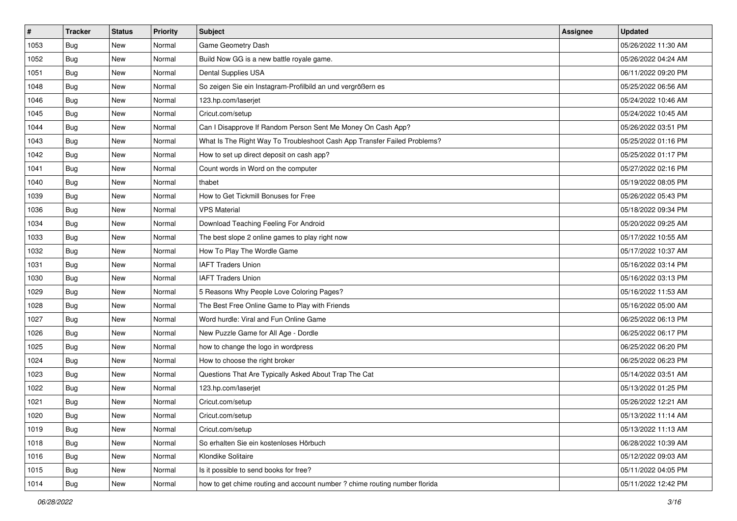| $\vert$ # | <b>Tracker</b> | <b>Status</b> | <b>Priority</b> | Subject                                                                    | <b>Assignee</b> | <b>Updated</b>      |
|-----------|----------------|---------------|-----------------|----------------------------------------------------------------------------|-----------------|---------------------|
| 1053      | <b>Bug</b>     | New           | Normal          | Game Geometry Dash                                                         |                 | 05/26/2022 11:30 AM |
| 1052      | Bug            | New           | Normal          | Build Now GG is a new battle royale game.                                  |                 | 05/26/2022 04:24 AM |
| 1051      | Bug            | New           | Normal          | Dental Supplies USA                                                        |                 | 06/11/2022 09:20 PM |
| 1048      | Bug            | New           | Normal          | So zeigen Sie ein Instagram-Profilbild an und vergrößern es                |                 | 05/25/2022 06:56 AM |
| 1046      | Bug            | New           | Normal          | 123.hp.com/laserjet                                                        |                 | 05/24/2022 10:46 AM |
| 1045      | Bug            | New           | Normal          | Cricut.com/setup                                                           |                 | 05/24/2022 10:45 AM |
| 1044      | Bug            | New           | Normal          | Can I Disapprove If Random Person Sent Me Money On Cash App?               |                 | 05/26/2022 03:51 PM |
| 1043      | <b>Bug</b>     | New           | Normal          | What Is The Right Way To Troubleshoot Cash App Transfer Failed Problems?   |                 | 05/25/2022 01:16 PM |
| 1042      | Bug            | New           | Normal          | How to set up direct deposit on cash app?                                  |                 | 05/25/2022 01:17 PM |
| 1041      | Bug            | New           | Normal          | Count words in Word on the computer                                        |                 | 05/27/2022 02:16 PM |
| 1040      | Bug            | New           | Normal          | thabet                                                                     |                 | 05/19/2022 08:05 PM |
| 1039      | Bug            | New           | Normal          | How to Get Tickmill Bonuses for Free                                       |                 | 05/26/2022 05:43 PM |
| 1036      | Bug            | <b>New</b>    | Normal          | <b>VPS Material</b>                                                        |                 | 05/18/2022 09:34 PM |
| 1034      | Bug            | New           | Normal          | Download Teaching Feeling For Android                                      |                 | 05/20/2022 09:25 AM |
| 1033      | Bug            | New           | Normal          | The best slope 2 online games to play right now                            |                 | 05/17/2022 10:55 AM |
| 1032      | <b>Bug</b>     | New           | Normal          | How To Play The Wordle Game                                                |                 | 05/17/2022 10:37 AM |
| 1031      | Bug            | New           | Normal          | <b>IAFT Traders Union</b>                                                  |                 | 05/16/2022 03:14 PM |
| 1030      | Bug            | New           | Normal          | <b>IAFT Traders Union</b>                                                  |                 | 05/16/2022 03:13 PM |
| 1029      | Bug            | New           | Normal          | 5 Reasons Why People Love Coloring Pages?                                  |                 | 05/16/2022 11:53 AM |
| 1028      | Bug            | New           | Normal          | The Best Free Online Game to Play with Friends                             |                 | 05/16/2022 05:00 AM |
| 1027      | Bug            | New           | Normal          | Word hurdle: Viral and Fun Online Game                                     |                 | 06/25/2022 06:13 PM |
| 1026      | Bug            | New           | Normal          | New Puzzle Game for All Age - Dordle                                       |                 | 06/25/2022 06:17 PM |
| 1025      | Bug            | New           | Normal          | how to change the logo in wordpress                                        |                 | 06/25/2022 06:20 PM |
| 1024      | <b>Bug</b>     | New           | Normal          | How to choose the right broker                                             |                 | 06/25/2022 06:23 PM |
| 1023      | <b>Bug</b>     | New           | Normal          | Questions That Are Typically Asked About Trap The Cat                      |                 | 05/14/2022 03:51 AM |
| 1022      | Bug            | New           | Normal          | 123.hp.com/laserjet                                                        |                 | 05/13/2022 01:25 PM |
| 1021      | Bug            | New           | Normal          | Cricut.com/setup                                                           |                 | 05/26/2022 12:21 AM |
| 1020      | Bug            | New           | Normal          | Cricut.com/setup                                                           |                 | 05/13/2022 11:14 AM |
| 1019      | Bug            | New           | Normal          | Cricut.com/setup                                                           |                 | 05/13/2022 11:13 AM |
| 1018      | Bug            | New           | Normal          | So erhalten Sie ein kostenloses Hörbuch                                    |                 | 06/28/2022 10:39 AM |
| 1016      | Bug            | New           | Normal          | Klondike Solitaire                                                         |                 | 05/12/2022 09:03 AM |
| 1015      | Bug            | New           | Normal          | Is it possible to send books for free?                                     |                 | 05/11/2022 04:05 PM |
| 1014      | <b>Bug</b>     | New           | Normal          | how to get chime routing and account number ? chime routing number florida |                 | 05/11/2022 12:42 PM |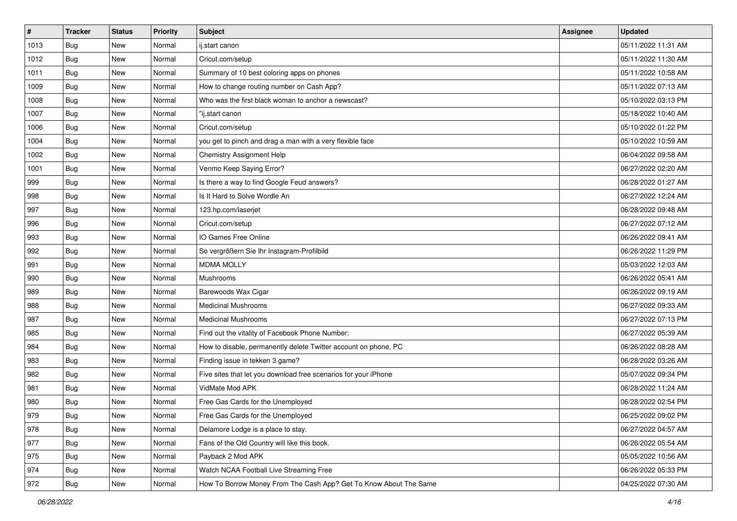| $\vert$ # | <b>Tracker</b> | <b>Status</b> | <b>Priority</b> | Subject                                                           | <b>Assignee</b> | <b>Updated</b>      |
|-----------|----------------|---------------|-----------------|-------------------------------------------------------------------|-----------------|---------------------|
| 1013      | Bug            | New           | Normal          | ij.start canon                                                    |                 | 05/11/2022 11:31 AM |
| 1012      | Bug            | New           | Normal          | Cricut.com/setup                                                  |                 | 05/11/2022 11:30 AM |
| 1011      | Bug            | New           | Normal          | Summary of 10 best coloring apps on phones                        |                 | 05/11/2022 10:58 AM |
| 1009      | <b>Bug</b>     | New           | Normal          | How to change routing number on Cash App?                         |                 | 05/11/2022 07:13 AM |
| 1008      | Bug            | New           | Normal          | Who was the first black woman to anchor a newscast?               |                 | 05/10/2022 03:13 PM |
| 1007      | Bug            | New           | Normal          | "ij.start canon                                                   |                 | 05/18/2022 10:40 AM |
| 1006      | <b>Bug</b>     | New           | Normal          | Cricut.com/setup                                                  |                 | 05/10/2022 01:22 PM |
| 1004      | Bug            | New           | Normal          | you get to pinch and drag a man with a very flexible face         |                 | 05/10/2022 10:59 AM |
| 1002      | Bug            | New           | Normal          | Chemistry Assignment Help                                         |                 | 06/04/2022 09:58 AM |
| 1001      | Bug            | New           | Normal          | Venmo Keep Saying Error?                                          |                 | 06/27/2022 02:20 AM |
| 999       | Bug            | New           | Normal          | Is there a way to find Google Feud answers?                       |                 | 06/28/2022 01:27 AM |
| 998       | Bug            | New           | Normal          | Is It Hard to Solve Wordle An                                     |                 | 06/27/2022 12:24 AM |
| 997       | Bug            | New           | Normal          | 123.hp.com/laserjet                                               |                 | 06/28/2022 09:48 AM |
| 996       | <b>Bug</b>     | New           | Normal          | Cricut.com/setup                                                  |                 | 06/27/2022 07:12 AM |
| 993       | Bug            | New           | Normal          | IO Games Free Online                                              |                 | 06/26/2022 09:41 AM |
| 992       | <b>Bug</b>     | New           | Normal          | So vergrößern Sie Ihr Instagram-Profilbild                        |                 | 06/26/2022 11:29 PM |
| 991       | Bug            | New           | Normal          | <b>MDMA MOLLY</b>                                                 |                 | 05/03/2022 12:03 AM |
| 990       | Bug            | New           | Normal          | Mushrooms                                                         |                 | 06/26/2022 05:41 AM |
| 989       | <b>Bug</b>     | New           | Normal          | Barewoods Wax Cigar                                               |                 | 06/26/2022 09:19 AM |
| 988       | Bug            | New           | Normal          | <b>Medicinal Mushrooms</b>                                        |                 | 06/27/2022 09:33 AM |
| 987       | Bug            | New           | Normal          | <b>Medicinal Mushrooms</b>                                        |                 | 06/27/2022 07:13 PM |
| 985       | Bug            | New           | Normal          | Find out the vitality of Facebook Phone Number:                   |                 | 06/27/2022 05:39 AM |
| 984       | Bug            | New           | Normal          | How to disable, permanently delete Twitter account on phone, PC   |                 | 06/26/2022 08:28 AM |
| 983       | Bug            | New           | Normal          | Finding issue in tekken 3 game?                                   |                 | 06/28/2022 03:26 AM |
| 982       | <b>Bug</b>     | New           | Normal          | Five sites that let you download free scenarios for your iPhone   |                 | 05/07/2022 09:34 PM |
| 981       | Bug            | New           | Normal          | VidMate Mod APK                                                   |                 | 06/28/2022 11:24 AM |
| 980       | <b>Bug</b>     | New           | Normal          | Free Gas Cards for the Unemployed                                 |                 | 06/28/2022 02:54 PM |
| 979       | <b>Bug</b>     | New           | Normal          | Free Gas Cards for the Unemployed                                 |                 | 06/25/2022 09:02 PM |
| 978       | Bug            | New           | Normal          | Delamore Lodge is a place to stay.                                |                 | 06/27/2022 04:57 AM |
| 977       | Bug            | New           | Normal          | Fans of the Old Country will like this book.                      |                 | 06/26/2022 05:54 AM |
| 975       | Bug            | New           | Normal          | Payback 2 Mod APK                                                 |                 | 05/05/2022 10:56 AM |
| 974       | <b>Bug</b>     | New           | Normal          | Watch NCAA Football Live Streaming Free                           |                 | 06/26/2022 05:33 PM |
| 972       | <b>Bug</b>     | New           | Normal          | How To Borrow Money From The Cash App? Get To Know About The Same |                 | 04/25/2022 07:30 AM |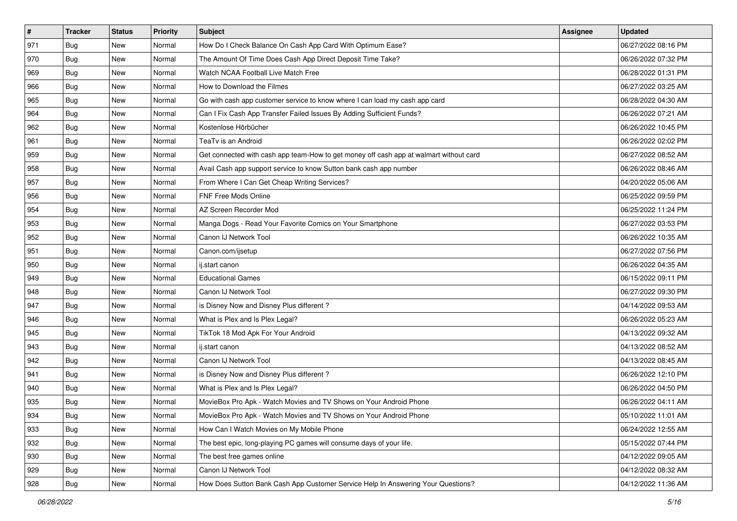| #   | <b>Tracker</b> | <b>Status</b> | <b>Priority</b> | Subject                                                                                | <b>Assignee</b> | <b>Updated</b>      |
|-----|----------------|---------------|-----------------|----------------------------------------------------------------------------------------|-----------------|---------------------|
| 971 | <b>Bug</b>     | New           | Normal          | How Do I Check Balance On Cash App Card With Optimum Ease?                             |                 | 06/27/2022 08:16 PM |
| 970 | Bug            | New           | Normal          | The Amount Of Time Does Cash App Direct Deposit Time Take?                             |                 | 06/26/2022 07:32 PM |
| 969 | Bug            | New           | Normal          | Watch NCAA Football Live Match Free                                                    |                 | 06/28/2022 01:31 PM |
| 966 | Bug            | New           | Normal          | How to Download the Filmes                                                             |                 | 06/27/2022 03:25 AM |
| 965 | Bug            | New           | Normal          | Go with cash app customer service to know where I can load my cash app card            |                 | 06/28/2022 04:30 AM |
| 964 | <b>Bug</b>     | New           | Normal          | Can I Fix Cash App Transfer Failed Issues By Adding Sufficient Funds?                  |                 | 06/26/2022 07:21 AM |
| 962 | Bug            | New           | Normal          | Kostenlose Hörbücher                                                                   |                 | 06/26/2022 10:45 PM |
| 961 | Bug            | New           | Normal          | TeaTv is an Android                                                                    |                 | 06/26/2022 02:02 PM |
| 959 | Bug            | New           | Normal          | Get connected with cash app team-How to get money off cash app at walmart without card |                 | 06/27/2022 08:52 AM |
| 958 | Bug            | New           | Normal          | Avail Cash app support service to know Sutton bank cash app number                     |                 | 06/26/2022 08:46 AM |
| 957 | <b>Bug</b>     | New           | Normal          | From Where I Can Get Cheap Writing Services?                                           |                 | 04/20/2022 05:06 AM |
| 956 | Bug            | New           | Normal          | FNF Free Mods Online                                                                   |                 | 06/25/2022 09:59 PM |
| 954 | Bug            | New           | Normal          | AZ Screen Recorder Mod                                                                 |                 | 06/25/2022 11:24 PM |
| 953 | <b>Bug</b>     | New           | Normal          | Manga Dogs - Read Your Favorite Comics on Your Smartphone                              |                 | 06/27/2022 03:53 PM |
| 952 | Bug            | New           | Normal          | Canon IJ Network Tool                                                                  |                 | 06/26/2022 10:35 AM |
| 951 | Bug            | New           | Normal          | Canon.com/ijsetup                                                                      |                 | 06/27/2022 07:56 PM |
| 950 | Bug            | New           | Normal          | ij.start canon                                                                         |                 | 06/26/2022 04:35 AM |
| 949 | Bug            | New           | Normal          | <b>Educational Games</b>                                                               |                 | 06/15/2022 09:11 PM |
| 948 | <b>Bug</b>     | New           | Normal          | Canon IJ Network Tool                                                                  |                 | 06/27/2022 09:30 PM |
| 947 | Bug            | New           | Normal          | is Disney Now and Disney Plus different?                                               |                 | 04/14/2022 09:53 AM |
| 946 | Bug            | New           | Normal          | What is Plex and Is Plex Legal?                                                        |                 | 06/26/2022 05:23 AM |
| 945 | Bug            | New           | Normal          | TikTok 18 Mod Apk For Your Android                                                     |                 | 04/13/2022 09:32 AM |
| 943 | Bug            | New           | Normal          | ij.start canon                                                                         |                 | 04/13/2022 08:52 AM |
| 942 | Bug            | New           | Normal          | Canon IJ Network Tool                                                                  |                 | 04/13/2022 08:45 AM |
| 941 | Bug            | New           | Normal          | is Disney Now and Disney Plus different?                                               |                 | 06/26/2022 12:10 PM |
| 940 | Bug            | New           | Normal          | What is Plex and Is Plex Legal?                                                        |                 | 06/26/2022 04:50 PM |
| 935 | <b>Bug</b>     | New           | Normal          | MovieBox Pro Apk - Watch Movies and TV Shows on Your Android Phone                     |                 | 06/26/2022 04:11 AM |
| 934 | <b>Bug</b>     | New           | Normal          | MovieBox Pro Apk - Watch Movies and TV Shows on Your Android Phone                     |                 | 05/10/2022 11:01 AM |
| 933 | Bug            | New           | Normal          | How Can I Watch Movies on My Mobile Phone                                              |                 | 06/24/2022 12:55 AM |
| 932 | Bug            | New           | Normal          | The best epic, long-playing PC games will consume days of your life.                   |                 | 05/15/2022 07:44 PM |
| 930 | Bug            | New           | Normal          | The best free games online                                                             |                 | 04/12/2022 09:05 AM |
| 929 | Bug            | New           | Normal          | Canon IJ Network Tool                                                                  |                 | 04/12/2022 08:32 AM |
| 928 | <b>Bug</b>     | New           | Normal          | How Does Sutton Bank Cash App Customer Service Help In Answering Your Questions?       |                 | 04/12/2022 11:36 AM |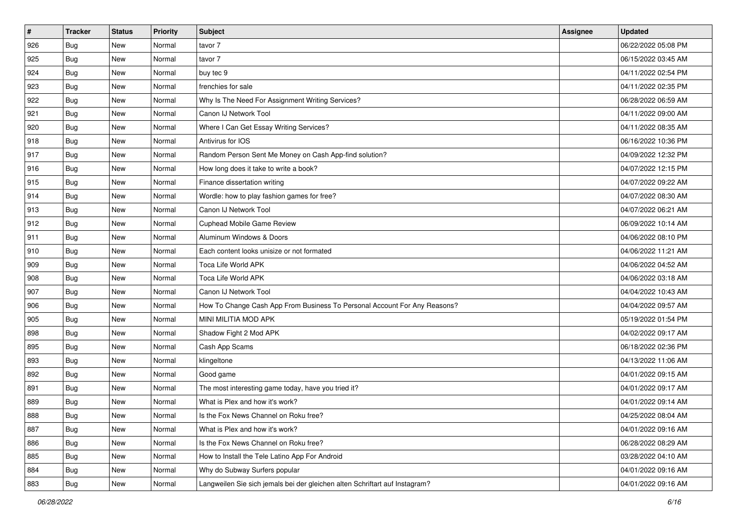| #   | <b>Tracker</b> | <b>Status</b> | <b>Priority</b> | Subject                                                                     | <b>Assignee</b> | <b>Updated</b>      |
|-----|----------------|---------------|-----------------|-----------------------------------------------------------------------------|-----------------|---------------------|
| 926 | Bug            | New           | Normal          | tavor 7                                                                     |                 | 06/22/2022 05:08 PM |
| 925 | Bug            | New           | Normal          | tavor 7                                                                     |                 | 06/15/2022 03:45 AM |
| 924 | <b>Bug</b>     | New           | Normal          | buy tec 9                                                                   |                 | 04/11/2022 02:54 PM |
| 923 | <b>Bug</b>     | New           | Normal          | frenchies for sale                                                          |                 | 04/11/2022 02:35 PM |
| 922 | Bug            | <b>New</b>    | Normal          | Why Is The Need For Assignment Writing Services?                            |                 | 06/28/2022 06:59 AM |
| 921 | Bug            | New           | Normal          | Canon IJ Network Tool                                                       |                 | 04/11/2022 09:00 AM |
| 920 | <b>Bug</b>     | New           | Normal          | Where I Can Get Essay Writing Services?                                     |                 | 04/11/2022 08:35 AM |
| 918 | Bug            | New           | Normal          | Antivirus for IOS                                                           |                 | 06/16/2022 10:36 PM |
| 917 | Bug            | New           | Normal          | Random Person Sent Me Money on Cash App-find solution?                      |                 | 04/09/2022 12:32 PM |
| 916 | Bug            | <b>New</b>    | Normal          | How long does it take to write a book?                                      |                 | 04/07/2022 12:15 PM |
| 915 | Bug            | New           | Normal          | Finance dissertation writing                                                |                 | 04/07/2022 09:22 AM |
| 914 | Bug            | New           | Normal          | Wordle: how to play fashion games for free?                                 |                 | 04/07/2022 08:30 AM |
| 913 | Bug            | <b>New</b>    | Normal          | Canon IJ Network Tool                                                       |                 | 04/07/2022 06:21 AM |
| 912 | <b>Bug</b>     | <b>New</b>    | Normal          | Cuphead Mobile Game Review                                                  |                 | 06/09/2022 10:14 AM |
| 911 | Bug            | New           | Normal          | Aluminum Windows & Doors                                                    |                 | 04/06/2022 08:10 PM |
| 910 | <b>Bug</b>     | New           | Normal          | Each content looks unisize or not formated                                  |                 | 04/06/2022 11:21 AM |
| 909 | <b>Bug</b>     | New           | Normal          | Toca Life World APK                                                         |                 | 04/06/2022 04:52 AM |
| 908 | Bug            | <b>New</b>    | Normal          | Toca Life World APK                                                         |                 | 04/06/2022 03:18 AM |
| 907 | <b>Bug</b>     | New           | Normal          | Canon IJ Network Tool                                                       |                 | 04/04/2022 10:43 AM |
| 906 | Bug            | New           | Normal          | How To Change Cash App From Business To Personal Account For Any Reasons?   |                 | 04/04/2022 09:57 AM |
| 905 | Bug            | New           | Normal          | MINI MILITIA MOD APK                                                        |                 | 05/19/2022 01:54 PM |
| 898 | Bug            | New           | Normal          | Shadow Fight 2 Mod APK                                                      |                 | 04/02/2022 09:17 AM |
| 895 | Bug            | <b>New</b>    | Normal          | Cash App Scams                                                              |                 | 06/18/2022 02:36 PM |
| 893 | Bug            | New           | Normal          | klingeltone                                                                 |                 | 04/13/2022 11:06 AM |
| 892 | <b>Bug</b>     | New           | Normal          | Good game                                                                   |                 | 04/01/2022 09:15 AM |
| 891 | Bug            | New           | Normal          | The most interesting game today, have you tried it?                         |                 | 04/01/2022 09:17 AM |
| 889 | <b>Bug</b>     | New           | Normal          | What is Plex and how it's work?                                             |                 | 04/01/2022 09:14 AM |
| 888 | <b>Bug</b>     | New           | Normal          | Is the Fox News Channel on Roku free?                                       |                 | 04/25/2022 08:04 AM |
| 887 | Bug            | New           | Normal          | What is Plex and how it's work?                                             |                 | 04/01/2022 09:16 AM |
| 886 | Bug            | New           | Normal          | Is the Fox News Channel on Roku free?                                       |                 | 06/28/2022 08:29 AM |
| 885 | Bug            | New           | Normal          | How to Install the Tele Latino App For Android                              |                 | 03/28/2022 04:10 AM |
| 884 | Bug            | New           | Normal          | Why do Subway Surfers popular                                               |                 | 04/01/2022 09:16 AM |
| 883 | <b>Bug</b>     | New           | Normal          | Langweilen Sie sich jemals bei der gleichen alten Schriftart auf Instagram? |                 | 04/01/2022 09:16 AM |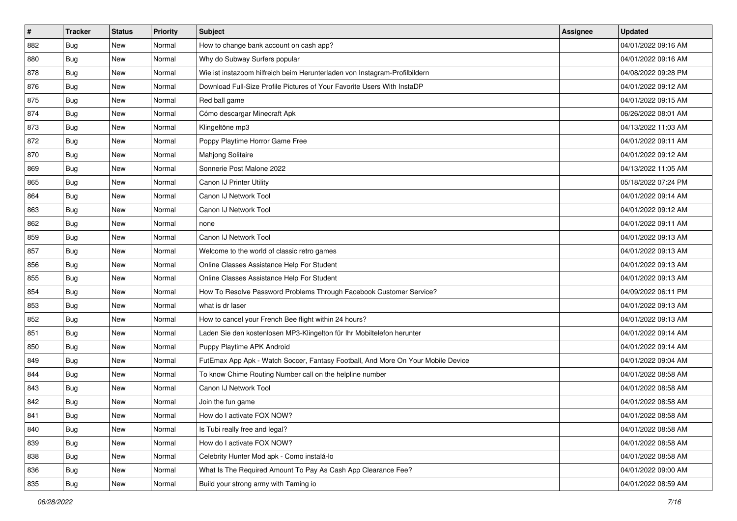| $\sharp$ | <b>Tracker</b> | <b>Status</b> | Priority | Subject                                                                          | <b>Assignee</b> | <b>Updated</b>      |
|----------|----------------|---------------|----------|----------------------------------------------------------------------------------|-----------------|---------------------|
| 882      | <b>Bug</b>     | New           | Normal   | How to change bank account on cash app?                                          |                 | 04/01/2022 09:16 AM |
| 880      | Bug            | <b>New</b>    | Normal   | Why do Subway Surfers popular                                                    |                 | 04/01/2022 09:16 AM |
| 878      | <b>Bug</b>     | New           | Normal   | Wie ist instazoom hilfreich beim Herunterladen von Instagram-Profilbildern       |                 | 04/08/2022 09:28 PM |
| 876      | <b>Bug</b>     | New           | Normal   | Download Full-Size Profile Pictures of Your Favorite Users With InstaDP          |                 | 04/01/2022 09:12 AM |
| 875      | <b>Bug</b>     | <b>New</b>    | Normal   | Red ball game                                                                    |                 | 04/01/2022 09:15 AM |
| 874      | <b>Bug</b>     | New           | Normal   | Cómo descargar Minecraft Apk                                                     |                 | 06/26/2022 08:01 AM |
| 873      | <b>Bug</b>     | New           | Normal   | Klingeltöne mp3                                                                  |                 | 04/13/2022 11:03 AM |
| 872      | <b>Bug</b>     | New           | Normal   | Poppy Playtime Horror Game Free                                                  |                 | 04/01/2022 09:11 AM |
| 870      | <b>Bug</b>     | New           | Normal   | <b>Mahjong Solitaire</b>                                                         |                 | 04/01/2022 09:12 AM |
| 869      | Bug            | <b>New</b>    | Normal   | Sonnerie Post Malone 2022                                                        |                 | 04/13/2022 11:05 AM |
| 865      | Bug            | New           | Normal   | Canon IJ Printer Utility                                                         |                 | 05/18/2022 07:24 PM |
| 864      | Bug            | New           | Normal   | Canon IJ Network Tool                                                            |                 | 04/01/2022 09:14 AM |
| 863      | <b>Bug</b>     | <b>New</b>    | Normal   | Canon IJ Network Tool                                                            |                 | 04/01/2022 09:12 AM |
| 862      | <b>Bug</b>     | New           | Normal   | none                                                                             |                 | 04/01/2022 09:11 AM |
| 859      | Bug            | New           | Normal   | Canon IJ Network Tool                                                            |                 | 04/01/2022 09:13 AM |
| 857      | <b>Bug</b>     | New           | Normal   | Welcome to the world of classic retro games                                      |                 | 04/01/2022 09:13 AM |
| 856      | <b>Bug</b>     | New           | Normal   | Online Classes Assistance Help For Student                                       |                 | 04/01/2022 09:13 AM |
| 855      | Bug            | <b>New</b>    | Normal   | Online Classes Assistance Help For Student                                       |                 | 04/01/2022 09:13 AM |
| 854      | Bug            | New           | Normal   | How To Resolve Password Problems Through Facebook Customer Service?              |                 | 04/09/2022 06:11 PM |
| 853      | Bug            | New           | Normal   | what is dr laser                                                                 |                 | 04/01/2022 09:13 AM |
| 852      | <b>Bug</b>     | New           | Normal   | How to cancel your French Bee flight within 24 hours?                            |                 | 04/01/2022 09:13 AM |
| 851      | <b>Bug</b>     | New           | Normal   | Laden Sie den kostenlosen MP3-Klingelton für Ihr Mobiltelefon herunter           |                 | 04/01/2022 09:14 AM |
| 850      | Bug            | <b>New</b>    | Normal   | Puppy Playtime APK Android                                                       |                 | 04/01/2022 09:14 AM |
| 849      | <b>Bug</b>     | New           | Normal   | FutEmax App Apk - Watch Soccer, Fantasy Football, And More On Your Mobile Device |                 | 04/01/2022 09:04 AM |
| 844      | Bug            | New           | Normal   | To know Chime Routing Number call on the helpline number                         |                 | 04/01/2022 08:58 AM |
| 843      | <b>Bug</b>     | New           | Normal   | Canon IJ Network Tool                                                            |                 | 04/01/2022 08:58 AM |
| 842      | <b>Bug</b>     | New           | Normal   | Join the fun game                                                                |                 | 04/01/2022 08:58 AM |
| 841      | i Bug          | New           | Normal   | How do I activate FOX NOW?                                                       |                 | 04/01/2022 08:58 AM |
| 840      | Bug            | New           | Normal   | Is Tubi really free and legal?                                                   |                 | 04/01/2022 08:58 AM |
| 839      | Bug            | New           | Normal   | How do I activate FOX NOW?                                                       |                 | 04/01/2022 08:58 AM |
| 838      | Bug            | New           | Normal   | Celebrity Hunter Mod apk - Como instalá-lo                                       |                 | 04/01/2022 08:58 AM |
| 836      | <b>Bug</b>     | New           | Normal   | What Is The Required Amount To Pay As Cash App Clearance Fee?                    |                 | 04/01/2022 09:00 AM |
| 835      | <b>Bug</b>     | New           | Normal   | Build your strong army with Taming io                                            |                 | 04/01/2022 08:59 AM |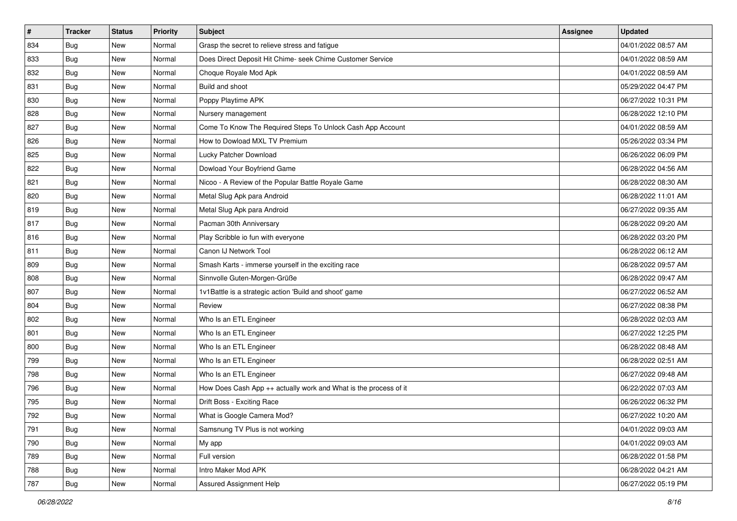| $\sharp$ | <b>Tracker</b> | <b>Status</b> | Priority | Subject                                                          | <b>Assignee</b> | <b>Updated</b>      |
|----------|----------------|---------------|----------|------------------------------------------------------------------|-----------------|---------------------|
| 834      | <b>Bug</b>     | New           | Normal   | Grasp the secret to relieve stress and fatigue                   |                 | 04/01/2022 08:57 AM |
| 833      | Bug            | <b>New</b>    | Normal   | Does Direct Deposit Hit Chime- seek Chime Customer Service       |                 | 04/01/2022 08:59 AM |
| 832      | Bug            | New           | Normal   | Choque Royale Mod Apk                                            |                 | 04/01/2022 08:59 AM |
| 831      | <b>Bug</b>     | New           | Normal   | Build and shoot                                                  |                 | 05/29/2022 04:47 PM |
| 830      | Bug            | <b>New</b>    | Normal   | Poppy Playtime APK                                               |                 | 06/27/2022 10:31 PM |
| 828      | <b>Bug</b>     | New           | Normal   | Nursery management                                               |                 | 06/28/2022 12:10 PM |
| 827      | <b>Bug</b>     | New           | Normal   | Come To Know The Required Steps To Unlock Cash App Account       |                 | 04/01/2022 08:59 AM |
| 826      | Bug            | New           | Normal   | How to Dowload MXL TV Premium                                    |                 | 05/26/2022 03:34 PM |
| 825      | <b>Bug</b>     | New           | Normal   | Lucky Patcher Download                                           |                 | 06/26/2022 06:09 PM |
| 822      | Bug            | <b>New</b>    | Normal   | Dowload Your Boyfriend Game                                      |                 | 06/28/2022 04:56 AM |
| 821      | Bug            | New           | Normal   | Nicoo - A Review of the Popular Battle Royale Game               |                 | 06/28/2022 08:30 AM |
| 820      | Bug            | New           | Normal   | Metal Slug Apk para Android                                      |                 | 06/28/2022 11:01 AM |
| 819      | <b>Bug</b>     | New           | Normal   | Metal Slug Apk para Android                                      |                 | 06/27/2022 09:35 AM |
| 817      | <b>Bug</b>     | New           | Normal   | Pacman 30th Anniversary                                          |                 | 06/28/2022 09:20 AM |
| 816      | <b>Bug</b>     | New           | Normal   | Play Scribble io fun with everyone                               |                 | 06/28/2022 03:20 PM |
| 811      | <b>Bug</b>     | New           | Normal   | Canon IJ Network Tool                                            |                 | 06/28/2022 06:12 AM |
| 809      | <b>Bug</b>     | New           | Normal   | Smash Karts - immerse yourself in the exciting race              |                 | 06/28/2022 09:57 AM |
| 808      | Bug            | <b>New</b>    | Normal   | Sinnvolle Guten-Morgen-Grüße                                     |                 | 06/28/2022 09:47 AM |
| 807      | <b>Bug</b>     | New           | Normal   | 1v1Battle is a strategic action 'Build and shoot' game           |                 | 06/27/2022 06:52 AM |
| 804      | Bug            | New           | Normal   | Review                                                           |                 | 06/27/2022 08:38 PM |
| 802      | <b>Bug</b>     | New           | Normal   | Who Is an ETL Engineer                                           |                 | 06/28/2022 02:03 AM |
| 801      | <b>Bug</b>     | New           | Normal   | Who Is an ETL Engineer                                           |                 | 06/27/2022 12:25 PM |
| 800      | Bug            | <b>New</b>    | Normal   | Who Is an ETL Engineer                                           |                 | 06/28/2022 08:48 AM |
| 799      | Bug            | New           | Normal   | Who Is an ETL Engineer                                           |                 | 06/28/2022 02:51 AM |
| 798      | <b>Bug</b>     | New           | Normal   | Who Is an ETL Engineer                                           |                 | 06/27/2022 09:48 AM |
| 796      | <b>Bug</b>     | New           | Normal   | How Does Cash App ++ actually work and What is the process of it |                 | 06/22/2022 07:03 AM |
| 795      | <b>Bug</b>     | New           | Normal   | Drift Boss - Exciting Race                                       |                 | 06/26/2022 06:32 PM |
| 792      | i Bug          | New           | Normal   | What is Google Camera Mod?                                       |                 | 06/27/2022 10:20 AM |
| 791      | Bug            | New           | Normal   | Samsnung TV Plus is not working                                  |                 | 04/01/2022 09:03 AM |
| 790      | Bug            | New           | Normal   | My app                                                           |                 | 04/01/2022 09:03 AM |
| 789      | Bug            | New           | Normal   | Full version                                                     |                 | 06/28/2022 01:58 PM |
| 788      | <b>Bug</b>     | New           | Normal   | Intro Maker Mod APK                                              |                 | 06/28/2022 04:21 AM |
| 787      | <b>Bug</b>     | New           | Normal   | Assured Assignment Help                                          |                 | 06/27/2022 05:19 PM |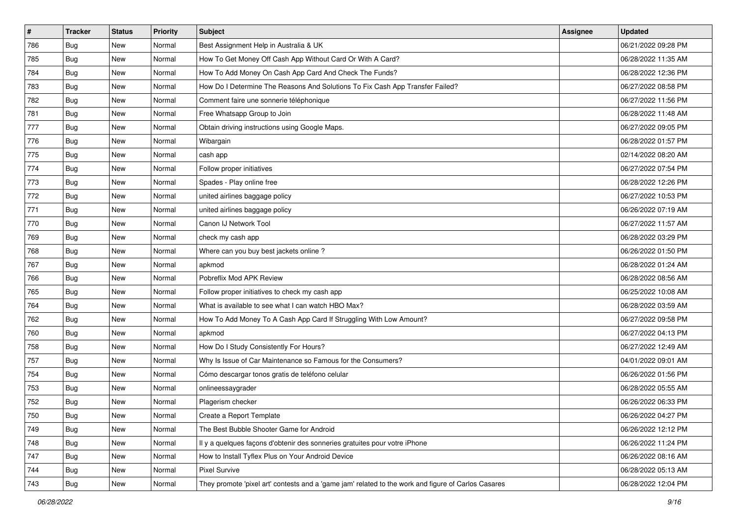| $\vert$ # | <b>Tracker</b> | <b>Status</b> | <b>Priority</b> | Subject                                                                                             | <b>Assignee</b> | <b>Updated</b>      |
|-----------|----------------|---------------|-----------------|-----------------------------------------------------------------------------------------------------|-----------------|---------------------|
| 786       | Bug            | New           | Normal          | Best Assignment Help in Australia & UK                                                              |                 | 06/21/2022 09:28 PM |
| 785       | Bug            | <b>New</b>    | Normal          | How To Get Money Off Cash App Without Card Or With A Card?                                          |                 | 06/28/2022 11:35 AM |
| 784       | <b>Bug</b>     | New           | Normal          | How To Add Money On Cash App Card And Check The Funds?                                              |                 | 06/28/2022 12:36 PM |
| 783       | Bug            | New           | Normal          | How Do I Determine The Reasons And Solutions To Fix Cash App Transfer Failed?                       |                 | 06/27/2022 08:58 PM |
| 782       | <b>Bug</b>     | <b>New</b>    | Normal          | Comment faire une sonnerie téléphonique                                                             |                 | 06/27/2022 11:56 PM |
| 781       | <b>Bug</b>     | New           | Normal          | Free Whatsapp Group to Join                                                                         |                 | 06/28/2022 11:48 AM |
| 777       | Bug            | New           | Normal          | Obtain driving instructions using Google Maps.                                                      |                 | 06/27/2022 09:05 PM |
| 776       | Bug            | New           | Normal          | Wibargain                                                                                           |                 | 06/28/2022 01:57 PM |
| 775       | <b>Bug</b>     | New           | Normal          | cash app                                                                                            |                 | 02/14/2022 08:20 AM |
| 774       | Bug            | <b>New</b>    | Normal          | Follow proper initiatives                                                                           |                 | 06/27/2022 07:54 PM |
| 773       | <b>Bug</b>     | New           | Normal          | Spades - Play online free                                                                           |                 | 06/28/2022 12:26 PM |
| 772       | <b>Bug</b>     | New           | Normal          | united airlines baggage policy                                                                      |                 | 06/27/2022 10:53 PM |
| 771       | <b>Bug</b>     | New           | Normal          | united airlines baggage policy                                                                      |                 | 06/26/2022 07:19 AM |
| 770       | <b>Bug</b>     | New           | Normal          | Canon IJ Network Tool                                                                               |                 | 06/27/2022 11:57 AM |
| 769       | Bug            | <b>New</b>    | Normal          | check my cash app                                                                                   |                 | 06/28/2022 03:29 PM |
| 768       | Bug            | New           | Normal          | Where can you buy best jackets online?                                                              |                 | 06/26/2022 01:50 PM |
| 767       | Bug            | New           | Normal          | apkmod                                                                                              |                 | 06/28/2022 01:24 AM |
| 766       | <b>Bug</b>     | <b>New</b>    | Normal          | Pobreflix Mod APK Review                                                                            |                 | 06/28/2022 08:56 AM |
| 765       | Bug            | New           | Normal          | Follow proper initiatives to check my cash app                                                      |                 | 06/25/2022 10:08 AM |
| 764       | Bug            | New           | Normal          | What is available to see what I can watch HBO Max?                                                  |                 | 06/28/2022 03:59 AM |
| 762       | Bug            | New           | Normal          | How To Add Money To A Cash App Card If Struggling With Low Amount?                                  |                 | 06/27/2022 09:58 PM |
| 760       | <b>Bug</b>     | New           | Normal          | apkmod                                                                                              |                 | 06/27/2022 04:13 PM |
| 758       | Bug            | <b>New</b>    | Normal          | How Do I Study Consistently For Hours?                                                              |                 | 06/27/2022 12:49 AM |
| 757       | <b>Bug</b>     | New           | Normal          | Why Is Issue of Car Maintenance so Famous for the Consumers?                                        |                 | 04/01/2022 09:01 AM |
| 754       | Bug            | New           | Normal          | Cómo descargar tonos gratis de teléfono celular                                                     |                 | 06/26/2022 01:56 PM |
| 753       | Bug            | New           | Normal          | onlineessaygrader                                                                                   |                 | 06/28/2022 05:55 AM |
| 752       | <b>Bug</b>     | New           | Normal          | Plagerism checker                                                                                   |                 | 06/26/2022 06:33 PM |
| 750       | <b>Bug</b>     | New           | Normal          | Create a Report Template                                                                            |                 | 06/26/2022 04:27 PM |
| 749       | Bug            | New           | Normal          | The Best Bubble Shooter Game for Android                                                            |                 | 06/26/2022 12:12 PM |
| 748       | Bug            | New           | Normal          | Il y a quelques façons d'obtenir des sonneries gratuites pour votre iPhone                          |                 | 06/26/2022 11:24 PM |
| 747       | Bug            | New           | Normal          | How to Install Tyflex Plus on Your Android Device                                                   |                 | 06/26/2022 08:16 AM |
| 744       | Bug            | New           | Normal          | <b>Pixel Survive</b>                                                                                |                 | 06/28/2022 05:13 AM |
| 743       | Bug            | New           | Normal          | They promote 'pixel art' contests and a 'game jam' related to the work and figure of Carlos Casares |                 | 06/28/2022 12:04 PM |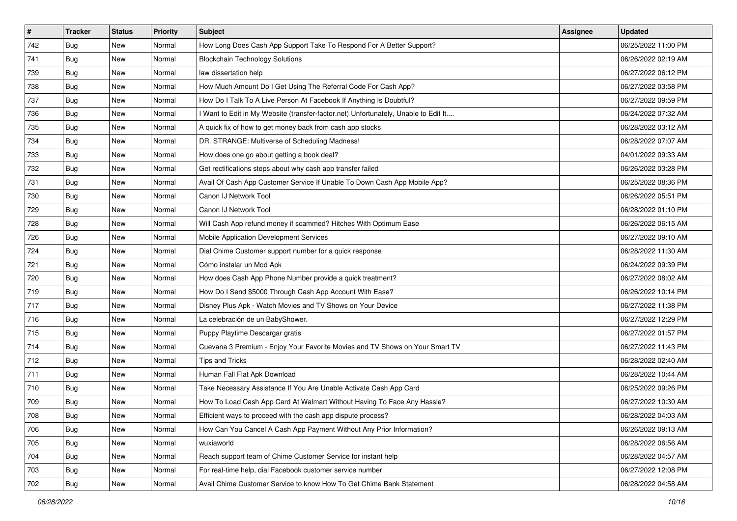| #   | <b>Tracker</b> | <b>Status</b> | <b>Priority</b> | Subject                                                                             | <b>Assignee</b> | <b>Updated</b>      |
|-----|----------------|---------------|-----------------|-------------------------------------------------------------------------------------|-----------------|---------------------|
| 742 | <b>Bug</b>     | New           | Normal          | How Long Does Cash App Support Take To Respond For A Better Support?                |                 | 06/25/2022 11:00 PM |
| 741 | <b>Bug</b>     | New           | Normal          | <b>Blockchain Technology Solutions</b>                                              |                 | 06/26/2022 02:19 AM |
| 739 | Bug            | New           | Normal          | law dissertation help                                                               |                 | 06/27/2022 06:12 PM |
| 738 | Bug            | New           | Normal          | How Much Amount Do I Get Using The Referral Code For Cash App?                      |                 | 06/27/2022 03:58 PM |
| 737 | Bug            | New           | Normal          | How Do I Talk To A Live Person At Facebook If Anything Is Doubtful?                 |                 | 06/27/2022 09:59 PM |
| 736 | <b>Bug</b>     | New           | Normal          | I Want to Edit in My Website (transfer-factor.net) Unfortunately, Unable to Edit It |                 | 06/24/2022 07:32 AM |
| 735 | Bug            | New           | Normal          | A quick fix of how to get money back from cash app stocks                           |                 | 06/28/2022 03:12 AM |
| 734 | Bug            | New           | Normal          | DR. STRANGE: Multiverse of Scheduling Madness!                                      |                 | 06/28/2022 07:07 AM |
| 733 | Bug            | New           | Normal          | How does one go about getting a book deal?                                          |                 | 04/01/2022 09:33 AM |
| 732 | Bug            | New           | Normal          | Get rectifications steps about why cash app transfer failed                         |                 | 06/26/2022 03:28 PM |
| 731 | <b>Bug</b>     | New           | Normal          | Avail Of Cash App Customer Service If Unable To Down Cash App Mobile App?           |                 | 06/25/2022 08:36 PM |
| 730 | Bug            | New           | Normal          | Canon IJ Network Tool                                                               |                 | 06/26/2022 05:51 PM |
| 729 | Bug            | New           | Normal          | Canon IJ Network Tool                                                               |                 | 06/28/2022 01:10 PM |
| 728 | <b>Bug</b>     | New           | Normal          | Will Cash App refund money if scammed? Hitches With Optimum Ease                    |                 | 06/26/2022 06:15 AM |
| 726 | <b>Bug</b>     | New           | Normal          | Mobile Application Development Services                                             |                 | 06/27/2022 09:10 AM |
| 724 | Bug            | New           | Normal          | Dial Chime Customer support number for a quick response                             |                 | 06/28/2022 11:30 AM |
| 721 | <b>Bug</b>     | New           | Normal          | Cómo instalar un Mod Apk                                                            |                 | 06/24/2022 09:39 PM |
| 720 | Bug            | New           | Normal          | How does Cash App Phone Number provide a quick treatment?                           |                 | 06/27/2022 08:02 AM |
| 719 | <b>Bug</b>     | New           | Normal          | How Do I Send \$5000 Through Cash App Account With Ease?                            |                 | 06/26/2022 10:14 PM |
| 717 | Bug            | New           | Normal          | Disney Plus Apk - Watch Movies and TV Shows on Your Device                          |                 | 06/27/2022 11:38 PM |
| 716 | Bug            | New           | Normal          | La celebración de un BabyShower.                                                    |                 | 06/27/2022 12:29 PM |
| 715 | Bug            | New           | Normal          | Puppy Playtime Descargar gratis                                                     |                 | 06/27/2022 01:57 PM |
| 714 | Bug            | New           | Normal          | Cuevana 3 Premium - Enjoy Your Favorite Movies and TV Shows on Your Smart TV        |                 | 06/27/2022 11:43 PM |
| 712 | Bug            | New           | Normal          | <b>Tips and Tricks</b>                                                              |                 | 06/28/2022 02:40 AM |
| 711 | Bug            | New           | Normal          | Human Fall Flat Apk Download                                                        |                 | 06/28/2022 10:44 AM |
| 710 | Bug            | New           | Normal          | Take Necessary Assistance If You Are Unable Activate Cash App Card                  |                 | 06/25/2022 09:26 PM |
| 709 | <b>Bug</b>     | New           | Normal          | How To Load Cash App Card At Walmart Without Having To Face Any Hassle?             |                 | 06/27/2022 10:30 AM |
| 708 | <b>Bug</b>     | New           | Normal          | Efficient ways to proceed with the cash app dispute process?                        |                 | 06/28/2022 04:03 AM |
| 706 | Bug            | New           | Normal          | How Can You Cancel A Cash App Payment Without Any Prior Information?                |                 | 06/26/2022 09:13 AM |
| 705 | <b>Bug</b>     | New           | Normal          | wuxiaworld                                                                          |                 | 06/28/2022 06:56 AM |
| 704 | Bug            | New           | Normal          | Reach support team of Chime Customer Service for instant help                       |                 | 06/28/2022 04:57 AM |
| 703 | Bug            | New           | Normal          | For real-time help, dial Facebook customer service number                           |                 | 06/27/2022 12:08 PM |
| 702 | <b>Bug</b>     | New           | Normal          | Avail Chime Customer Service to know How To Get Chime Bank Statement                |                 | 06/28/2022 04:58 AM |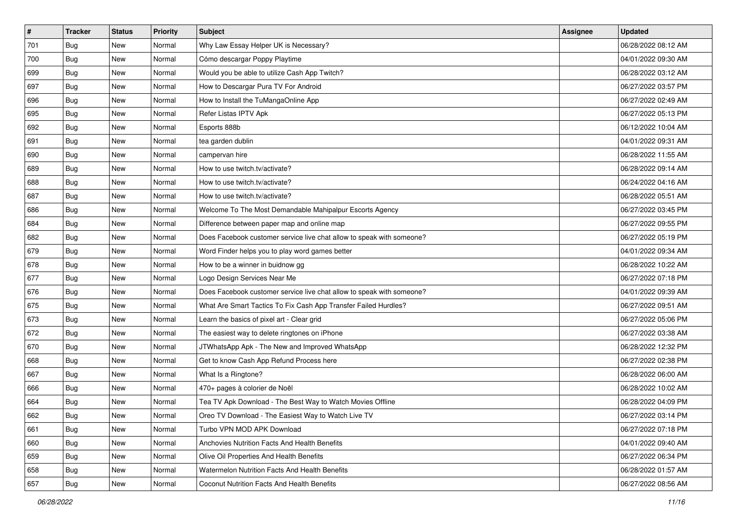| $\sharp$ | <b>Tracker</b> | <b>Status</b> | Priority | Subject                                                               | <b>Assignee</b> | <b>Updated</b>      |
|----------|----------------|---------------|----------|-----------------------------------------------------------------------|-----------------|---------------------|
| 701      | <b>Bug</b>     | New           | Normal   | Why Law Essay Helper UK is Necessary?                                 |                 | 06/28/2022 08:12 AM |
| 700      | Bug            | New           | Normal   | Cómo descargar Poppy Playtime                                         |                 | 04/01/2022 09:30 AM |
| 699      | <b>Bug</b>     | New           | Normal   | Would you be able to utilize Cash App Twitch?                         |                 | 06/28/2022 03:12 AM |
| 697      | <b>Bug</b>     | New           | Normal   | How to Descargar Pura TV For Android                                  |                 | 06/27/2022 03:57 PM |
| 696      | Bug            | <b>New</b>    | Normal   | How to Install the TuMangaOnline App                                  |                 | 06/27/2022 02:49 AM |
| 695      | <b>Bug</b>     | New           | Normal   | Refer Listas IPTV Apk                                                 |                 | 06/27/2022 05:13 PM |
| 692      | <b>Bug</b>     | New           | Normal   | Esports 888b                                                          |                 | 06/12/2022 10:04 AM |
| 691      | Bug            | New           | Normal   | tea garden dublin                                                     |                 | 04/01/2022 09:31 AM |
| 690      | <b>Bug</b>     | New           | Normal   | campervan hire                                                        |                 | 06/28/2022 11:55 AM |
| 689      | Bug            | <b>New</b>    | Normal   | How to use twitch.tv/activate?                                        |                 | 06/28/2022 09:14 AM |
| 688      | Bug            | New           | Normal   | How to use twitch.tv/activate?                                        |                 | 06/24/2022 04:16 AM |
| 687      | Bug            | New           | Normal   | How to use twitch.tv/activate?                                        |                 | 06/28/2022 05:51 AM |
| 686      | <b>Bug</b>     | New           | Normal   | Welcome To The Most Demandable Mahipalpur Escorts Agency              |                 | 06/27/2022 03:45 PM |
| 684      | <b>Bug</b>     | New           | Normal   | Difference between paper map and online map                           |                 | 06/27/2022 09:55 PM |
| 682      | Bug            | New           | Normal   | Does Facebook customer service live chat allow to speak with someone? |                 | 06/27/2022 05:19 PM |
| 679      | Bug            | New           | Normal   | Word Finder helps you to play word games better                       |                 | 04/01/2022 09:34 AM |
| 678      | <b>Bug</b>     | New           | Normal   | How to be a winner in buidnow gg                                      |                 | 06/28/2022 10:22 AM |
| 677      | Bug            | <b>New</b>    | Normal   | Logo Design Services Near Me                                          |                 | 06/27/2022 07:18 PM |
| 676      | <b>Bug</b>     | New           | Normal   | Does Facebook customer service live chat allow to speak with someone? |                 | 04/01/2022 09:39 AM |
| 675      | Bug            | New           | Normal   | What Are Smart Tactics To Fix Cash App Transfer Failed Hurdles?       |                 | 06/27/2022 09:51 AM |
| 673      | <b>Bug</b>     | New           | Normal   | Learn the basics of pixel art - Clear grid                            |                 | 06/27/2022 05:06 PM |
| 672      | <b>Bug</b>     | New           | Normal   | The easiest way to delete ringtones on iPhone                         |                 | 06/27/2022 03:38 AM |
| 670      | Bug            | <b>New</b>    | Normal   | JTWhatsApp Apk - The New and Improved WhatsApp                        |                 | 06/28/2022 12:32 PM |
| 668      | <b>Bug</b>     | New           | Normal   | Get to know Cash App Refund Process here                              |                 | 06/27/2022 02:38 PM |
| 667      | <b>Bug</b>     | New           | Normal   | What Is a Ringtone?                                                   |                 | 06/28/2022 06:00 AM |
| 666      | Bug            | New           | Normal   | 470+ pages à colorier de Noël                                         |                 | 06/28/2022 10:02 AM |
| 664      | <b>Bug</b>     | New           | Normal   | Tea TV Apk Download - The Best Way to Watch Movies Offline            |                 | 06/28/2022 04:09 PM |
| 662      | i Bug          | New           | Normal   | Oreo TV Download - The Easiest Way to Watch Live TV                   |                 | 06/27/2022 03:14 PM |
| 661      | Bug            | New           | Normal   | Turbo VPN MOD APK Download                                            |                 | 06/27/2022 07:18 PM |
| 660      | Bug            | New           | Normal   | Anchovies Nutrition Facts And Health Benefits                         |                 | 04/01/2022 09:40 AM |
| 659      | Bug            | New           | Normal   | Olive Oil Properties And Health Benefits                              |                 | 06/27/2022 06:34 PM |
| 658      | Bug            | New           | Normal   | Watermelon Nutrition Facts And Health Benefits                        |                 | 06/28/2022 01:57 AM |
| 657      | <b>Bug</b>     | New           | Normal   | Coconut Nutrition Facts And Health Benefits                           |                 | 06/27/2022 08:56 AM |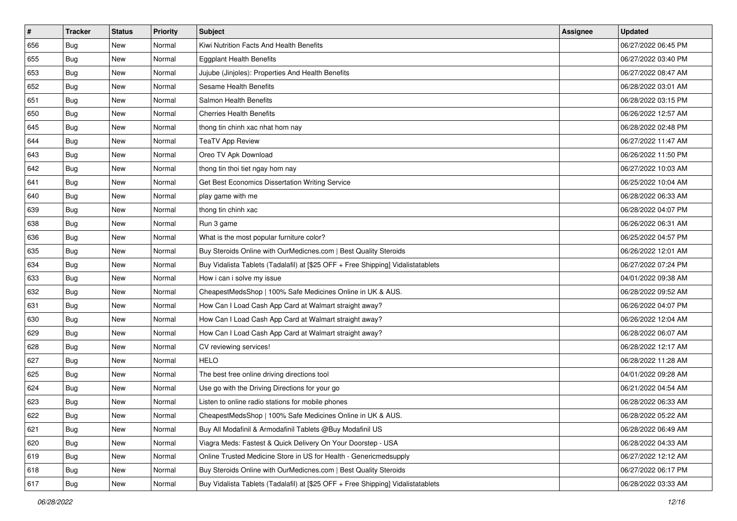| $\sharp$ | <b>Tracker</b> | <b>Status</b> | Priority | Subject                                                                          | <b>Assignee</b> | <b>Updated</b>      |
|----------|----------------|---------------|----------|----------------------------------------------------------------------------------|-----------------|---------------------|
| 656      | <b>Bug</b>     | New           | Normal   | Kiwi Nutrition Facts And Health Benefits                                         |                 | 06/27/2022 06:45 PM |
| 655      | Bug            | New           | Normal   | <b>Eggplant Health Benefits</b>                                                  |                 | 06/27/2022 03:40 PM |
| 653      | Bug            | New           | Normal   | Jujube (Jinjoles): Properties And Health Benefits                                |                 | 06/27/2022 08:47 AM |
| 652      | <b>Bug</b>     | New           | Normal   | <b>Sesame Health Benefits</b>                                                    |                 | 06/28/2022 03:01 AM |
| 651      | Bug            | <b>New</b>    | Normal   | Salmon Health Benefits                                                           |                 | 06/28/2022 03:15 PM |
| 650      | <b>Bug</b>     | New           | Normal   | <b>Cherries Health Benefits</b>                                                  |                 | 06/26/2022 12:57 AM |
| 645      | <b>Bug</b>     | New           | Normal   | thong tin chinh xac nhat hom nay                                                 |                 | 06/28/2022 02:48 PM |
| 644      | <b>Bug</b>     | New           | Normal   | <b>TeaTV App Review</b>                                                          |                 | 06/27/2022 11:47 AM |
| 643      | <b>Bug</b>     | New           | Normal   | Oreo TV Apk Download                                                             |                 | 06/26/2022 11:50 PM |
| 642      | Bug            | New           | Normal   | thong tin thoi tiet ngay hom nay                                                 |                 | 06/27/2022 10:03 AM |
| 641      | Bug            | New           | Normal   | Get Best Economics Dissertation Writing Service                                  |                 | 06/25/2022 10:04 AM |
| 640      | Bug            | New           | Normal   | play game with me                                                                |                 | 06/28/2022 06:33 AM |
| 639      | <b>Bug</b>     | <b>New</b>    | Normal   | thong tin chinh xac                                                              |                 | 06/28/2022 04:07 PM |
| 638      | <b>Bug</b>     | New           | Normal   | Run 3 game                                                                       |                 | 06/26/2022 06:31 AM |
| 636      | <b>Bug</b>     | New           | Normal   | What is the most popular furniture color?                                        |                 | 06/25/2022 04:57 PM |
| 635      | Bug            | New           | Normal   | Buy Steroids Online with OurMedicnes.com   Best Quality Steroids                 |                 | 06/26/2022 12:01 AM |
| 634      | <b>Bug</b>     | New           | Normal   | Buy Vidalista Tablets (Tadalafil) at [\$25 OFF + Free Shipping] Vidalistatablets |                 | 06/27/2022 07:24 PM |
| 633      | Bug            | <b>New</b>    | Normal   | How i can i solve my issue                                                       |                 | 04/01/2022 09:38 AM |
| 632      | <b>Bug</b>     | New           | Normal   | CheapestMedsShop   100% Safe Medicines Online in UK & AUS.                       |                 | 06/28/2022 09:52 AM |
| 631      | <b>Bug</b>     | New           | Normal   | How Can I Load Cash App Card at Walmart straight away?                           |                 | 06/26/2022 04:07 PM |
| 630      | <b>Bug</b>     | New           | Normal   | How Can I Load Cash App Card at Walmart straight away?                           |                 | 06/26/2022 12:04 AM |
| 629      | <b>Bug</b>     | New           | Normal   | How Can I Load Cash App Card at Walmart straight away?                           |                 | 06/28/2022 06:07 AM |
| 628      | Bug            | <b>New</b>    | Normal   | CV reviewing services!                                                           |                 | 06/28/2022 12:17 AM |
| 627      | <b>Bug</b>     | New           | Normal   | <b>HELO</b>                                                                      |                 | 06/28/2022 11:28 AM |
| 625      | Bug            | New           | Normal   | The best free online driving directions tool                                     |                 | 04/01/2022 09:28 AM |
| 624      | <b>Bug</b>     | New           | Normal   | Use go with the Driving Directions for your go                                   |                 | 06/21/2022 04:54 AM |
| 623      | <b>Bug</b>     | New           | Normal   | Listen to online radio stations for mobile phones                                |                 | 06/28/2022 06:33 AM |
| 622      | I Bug          | New           | Normal   | CheapestMedsShop   100% Safe Medicines Online in UK & AUS.                       |                 | 06/28/2022 05:22 AM |
| 621      | Bug            | New           | Normal   | Buy All Modafinil & Armodafinil Tablets @Buy Modafinil US                        |                 | 06/28/2022 06:49 AM |
| 620      | Bug            | New           | Normal   | Viagra Meds: Fastest & Quick Delivery On Your Doorstep - USA                     |                 | 06/28/2022 04:33 AM |
| 619      | Bug            | New           | Normal   | Online Trusted Medicine Store in US for Health - Genericmedsupply                |                 | 06/27/2022 12:12 AM |
| 618      | Bug            | New           | Normal   | Buy Steroids Online with OurMedicnes.com   Best Quality Steroids                 |                 | 06/27/2022 06:17 PM |
| 617      | <b>Bug</b>     | New           | Normal   | Buy Vidalista Tablets (Tadalafil) at [\$25 OFF + Free Shipping] Vidalistatablets |                 | 06/28/2022 03:33 AM |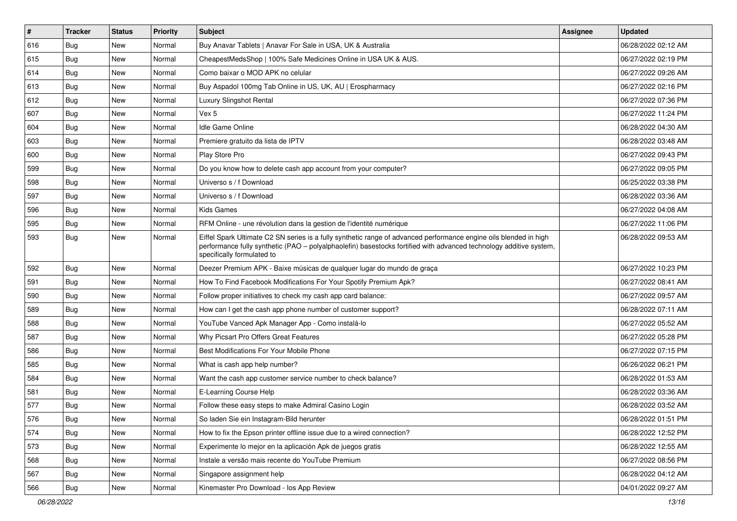| $\vert$ # | <b>Tracker</b> | <b>Status</b> | Priority | Subject                                                                                                                                                                                                                                                               | <b>Assignee</b> | <b>Updated</b>      |
|-----------|----------------|---------------|----------|-----------------------------------------------------------------------------------------------------------------------------------------------------------------------------------------------------------------------------------------------------------------------|-----------------|---------------------|
| 616       | <b>Bug</b>     | New           | Normal   | Buy Anavar Tablets   Anavar For Sale in USA, UK & Australia                                                                                                                                                                                                           |                 | 06/28/2022 02:12 AM |
| 615       | Bug            | New           | Normal   | CheapestMedsShop   100% Safe Medicines Online in USA UK & AUS.                                                                                                                                                                                                        |                 | 06/27/2022 02:19 PM |
| 614       | Bug            | New           | Normal   | Como baixar o MOD APK no celular                                                                                                                                                                                                                                      |                 | 06/27/2022 09:26 AM |
| 613       | <b>Bug</b>     | New           | Normal   | Buy Aspadol 100mg Tab Online in US, UK, AU   Erospharmacy                                                                                                                                                                                                             |                 | 06/27/2022 02:16 PM |
| 612       | <b>Bug</b>     | <b>New</b>    | Normal   | Luxury Slingshot Rental                                                                                                                                                                                                                                               |                 | 06/27/2022 07:36 PM |
| 607       | <b>Bug</b>     | New           | Normal   | Vex 5                                                                                                                                                                                                                                                                 |                 | 06/27/2022 11:24 PM |
| 604       | Bug            | New           | Normal   | Idle Game Online                                                                                                                                                                                                                                                      |                 | 06/28/2022 04:30 AM |
| 603       | <b>Bug</b>     | New           | Normal   | Premiere gratuito da lista de IPTV                                                                                                                                                                                                                                    |                 | 06/28/2022 03:48 AM |
| 600       | Bug            | New           | Normal   | Play Store Pro                                                                                                                                                                                                                                                        |                 | 06/27/2022 09:43 PM |
| 599       | Bug            | New           | Normal   | Do you know how to delete cash app account from your computer?                                                                                                                                                                                                        |                 | 06/27/2022 09:05 PM |
| 598       | Bug            | New           | Normal   | Universo s / f Download                                                                                                                                                                                                                                               |                 | 06/25/2022 03:38 PM |
| 597       | Bug            | New           | Normal   | Universo s / f Download                                                                                                                                                                                                                                               |                 | 06/28/2022 03:36 AM |
| 596       | Bug            | <b>New</b>    | Normal   | <b>Kids Games</b>                                                                                                                                                                                                                                                     |                 | 06/27/2022 04:08 AM |
| 595       | <b>Bug</b>     | New           | Normal   | RFM Online - une révolution dans la gestion de l'identité numérique                                                                                                                                                                                                   |                 | 06/27/2022 11:06 PM |
| 593       | Bug            | New           | Normal   | Eiffel Spark Ultimate C2 SN series is a fully synthetic range of advanced performance engine oils blended in high<br>performance fully synthetic (PAO - polyalphaolefin) basestocks fortified with advanced technology additive system,<br>specifically formulated to |                 | 06/28/2022 09:53 AM |
| 592       | Bug            | New           | Normal   | Deezer Premium APK - Baixe músicas de qualquer lugar do mundo de graça                                                                                                                                                                                                |                 | 06/27/2022 10:23 PM |
| 591       | Bug            | New           | Normal   | How To Find Facebook Modifications For Your Spotify Premium Apk?                                                                                                                                                                                                      |                 | 06/27/2022 08:41 AM |
| 590       | <b>Bug</b>     | New           | Normal   | Follow proper initiatives to check my cash app card balance:                                                                                                                                                                                                          |                 | 06/27/2022 09:57 AM |
| 589       | Bug            | <b>New</b>    | Normal   | How can I get the cash app phone number of customer support?                                                                                                                                                                                                          |                 | 06/28/2022 07:11 AM |
| 588       | Bug            | New           | Normal   | YouTube Vanced Apk Manager App - Como instalá-lo                                                                                                                                                                                                                      |                 | 06/27/2022 05:52 AM |
| 587       | <b>Bug</b>     | <b>New</b>    | Normal   | Why Picsart Pro Offers Great Features                                                                                                                                                                                                                                 |                 | 06/27/2022 05:28 PM |
| 586       | Bug            | New           | Normal   | Best Modifications For Your Mobile Phone                                                                                                                                                                                                                              |                 | 06/27/2022 07:15 PM |
| 585       | <b>Bug</b>     | New           | Normal   | What is cash app help number?                                                                                                                                                                                                                                         |                 | 06/26/2022 06:21 PM |
| 584       | Bug            | <b>New</b>    | Normal   | Want the cash app customer service number to check balance?                                                                                                                                                                                                           |                 | 06/28/2022 01:53 AM |
| 581       | <b>Bug</b>     | New           | Normal   | E-Learning Course Help                                                                                                                                                                                                                                                |                 | 06/28/2022 03:36 AM |
| 577       | Bug            | New           | Normal   | Follow these easy steps to make Admiral Casino Login                                                                                                                                                                                                                  |                 | 06/28/2022 03:52 AM |
| 576       | Bug            | New           | Normal   | So laden Sie ein Instagram-Bild herunter                                                                                                                                                                                                                              |                 | 06/28/2022 01:51 PM |
| 574       | Bug            | New           | Normal   | How to fix the Epson printer offline issue due to a wired connection?                                                                                                                                                                                                 |                 | 06/28/2022 12:52 PM |
| 573       | <b>Bug</b>     | New           | Normal   | Experimente lo mejor en la aplicación Apk de juegos gratis                                                                                                                                                                                                            |                 | 06/28/2022 12:55 AM |
| 568       | <b>Bug</b>     | New           | Normal   | Instale a versão mais recente do YouTube Premium                                                                                                                                                                                                                      |                 | 06/27/2022 08:56 PM |
| 567       | Bug            | New           | Normal   | Singapore assignment help                                                                                                                                                                                                                                             |                 | 06/28/2022 04:12 AM |
| 566       | <b>Bug</b>     | New           | Normal   | Kinemaster Pro Download - los App Review                                                                                                                                                                                                                              |                 | 04/01/2022 09:27 AM |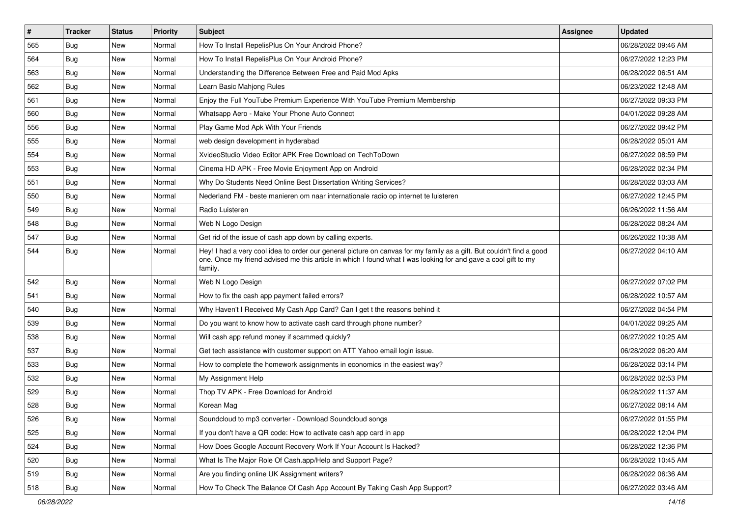| #   | <b>Tracker</b> | <b>Status</b> | Priority | <b>Subject</b>                                                                                                                                                                                                                                    | <b>Assignee</b> | <b>Updated</b>      |
|-----|----------------|---------------|----------|---------------------------------------------------------------------------------------------------------------------------------------------------------------------------------------------------------------------------------------------------|-----------------|---------------------|
| 565 | <b>Bug</b>     | New           | Normal   | How To Install RepelisPlus On Your Android Phone?                                                                                                                                                                                                 |                 | 06/28/2022 09:46 AM |
| 564 | Bug            | <b>New</b>    | Normal   | How To Install RepelisPlus On Your Android Phone?                                                                                                                                                                                                 |                 | 06/27/2022 12:23 PM |
| 563 | Bug            | New           | Normal   | Understanding the Difference Between Free and Paid Mod Apks                                                                                                                                                                                       |                 | 06/28/2022 06:51 AM |
| 562 | Bug            | New           | Normal   | Learn Basic Mahjong Rules                                                                                                                                                                                                                         |                 | 06/23/2022 12:48 AM |
| 561 | Bug            | <b>New</b>    | Normal   | Enjoy the Full YouTube Premium Experience With YouTube Premium Membership                                                                                                                                                                         |                 | 06/27/2022 09:33 PM |
| 560 | Bug            | New           | Normal   | Whatsapp Aero - Make Your Phone Auto Connect                                                                                                                                                                                                      |                 | 04/01/2022 09:28 AM |
| 556 | Bug            | <b>New</b>    | Normal   | Play Game Mod Apk With Your Friends                                                                                                                                                                                                               |                 | 06/27/2022 09:42 PM |
| 555 | Bug            | New           | Normal   | web design development in hyderabad                                                                                                                                                                                                               |                 | 06/28/2022 05:01 AM |
| 554 | <b>Bug</b>     | New           | Normal   | XvideoStudio Video Editor APK Free Download on TechToDown                                                                                                                                                                                         |                 | 06/27/2022 08:59 PM |
| 553 | Bug            | New           | Normal   | Cinema HD APK - Free Movie Enjoyment App on Android                                                                                                                                                                                               |                 | 06/28/2022 02:34 PM |
| 551 | <b>Bug</b>     | New           | Normal   | Why Do Students Need Online Best Dissertation Writing Services?                                                                                                                                                                                   |                 | 06/28/2022 03:03 AM |
| 550 | Bug            | New           | Normal   | Nederland FM - beste manieren om naar internationale radio op internet te luisteren                                                                                                                                                               |                 | 06/27/2022 12:45 PM |
| 549 | Bug            | New           | Normal   | Radio Luisteren                                                                                                                                                                                                                                   |                 | 06/26/2022 11:56 AM |
| 548 | Bug            | <b>New</b>    | Normal   | Web N Logo Design                                                                                                                                                                                                                                 |                 | 06/28/2022 08:24 AM |
| 547 | <b>Bug</b>     | <b>New</b>    | Normal   | Get rid of the issue of cash app down by calling experts.                                                                                                                                                                                         |                 | 06/26/2022 10:38 AM |
| 544 | Bug            | New           | Normal   | Hey! I had a very cool idea to order our general picture on canvas for my family as a gift. But couldn't find a good<br>one. Once my friend advised me this article in which I found what I was looking for and gave a cool gift to my<br>family. |                 | 06/27/2022 04:10 AM |
| 542 | Bug            | New           | Normal   | Web N Logo Design                                                                                                                                                                                                                                 |                 | 06/27/2022 07:02 PM |
| 541 | Bug            | New           | Normal   | How to fix the cash app payment failed errors?                                                                                                                                                                                                    |                 | 06/28/2022 10:57 AM |
| 540 | Bug            | <b>New</b>    | Normal   | Why Haven't I Received My Cash App Card? Can I get t the reasons behind it                                                                                                                                                                        |                 | 06/27/2022 04:54 PM |
| 539 | Bug            | New           | Normal   | Do you want to know how to activate cash card through phone number?                                                                                                                                                                               |                 | 04/01/2022 09:25 AM |
| 538 | Bug            | <b>New</b>    | Normal   | Will cash app refund money if scammed quickly?                                                                                                                                                                                                    |                 | 06/27/2022 10:25 AM |
| 537 | Bug            | New           | Normal   | Get tech assistance with customer support on ATT Yahoo email login issue.                                                                                                                                                                         |                 | 06/28/2022 06:20 AM |
| 533 | Bug            | New           | Normal   | How to complete the homework assignments in economics in the easiest way?                                                                                                                                                                         |                 | 06/28/2022 03:14 PM |
| 532 | Bug            | <b>New</b>    | Normal   | My Assignment Help                                                                                                                                                                                                                                |                 | 06/28/2022 02:53 PM |
| 529 | <b>Bug</b>     | New           | Normal   | Thop TV APK - Free Download for Android                                                                                                                                                                                                           |                 | 06/28/2022 11:37 AM |
| 528 | <b>Bug</b>     | New           | Normal   | Korean Mag                                                                                                                                                                                                                                        |                 | 06/27/2022 08:14 AM |
| 526 | Bug            | New           | Normal   | Soundcloud to mp3 converter - Download Soundcloud songs                                                                                                                                                                                           |                 | 06/27/2022 01:55 PM |
| 525 | Bug            | New           | Normal   | If you don't have a QR code: How to activate cash app card in app                                                                                                                                                                                 |                 | 06/28/2022 12:04 PM |
| 524 | <b>Bug</b>     | New           | Normal   | How Does Google Account Recovery Work If Your Account Is Hacked?                                                                                                                                                                                  |                 | 06/28/2022 12:36 PM |
| 520 | <b>Bug</b>     | New           | Normal   | What Is The Major Role Of Cash.app/Help and Support Page?                                                                                                                                                                                         |                 | 06/28/2022 10:45 AM |
| 519 | Bug            | New           | Normal   | Are you finding online UK Assignment writers?                                                                                                                                                                                                     |                 | 06/28/2022 06:36 AM |
| 518 | <b>Bug</b>     | New           | Normal   | How To Check The Balance Of Cash App Account By Taking Cash App Support?                                                                                                                                                                          |                 | 06/27/2022 03:46 AM |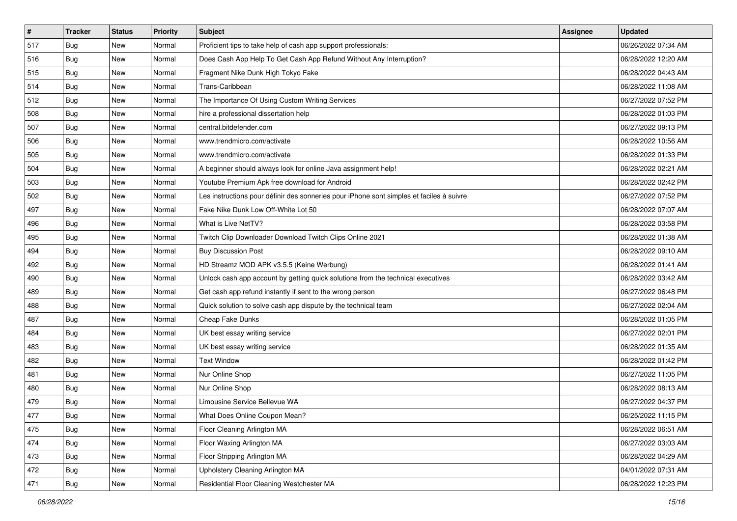| $\vert$ # | <b>Tracker</b> | <b>Status</b> | <b>Priority</b> | Subject                                                                                  | <b>Assignee</b> | <b>Updated</b>      |
|-----------|----------------|---------------|-----------------|------------------------------------------------------------------------------------------|-----------------|---------------------|
| 517       | Bug            | New           | Normal          | Proficient tips to take help of cash app support professionals:                          |                 | 06/26/2022 07:34 AM |
| 516       | Bug            | New           | Normal          | Does Cash App Help To Get Cash App Refund Without Any Interruption?                      |                 | 06/28/2022 12:20 AM |
| 515       | Bug            | New           | Normal          | Fragment Nike Dunk High Tokyo Fake                                                       |                 | 06/28/2022 04:43 AM |
| 514       | Bug            | <b>New</b>    | Normal          | Trans-Caribbean                                                                          |                 | 06/28/2022 11:08 AM |
| 512       | Bug            | <b>New</b>    | Normal          | The Importance Of Using Custom Writing Services                                          |                 | 06/27/2022 07:52 PM |
| 508       | Bug            | New           | Normal          | hire a professional dissertation help                                                    |                 | 06/28/2022 01:03 PM |
| 507       | Bug            | New           | Normal          | central.bitdefender.com                                                                  |                 | 06/27/2022 09:13 PM |
| 506       | <b>Bug</b>     | New           | Normal          | www.trendmicro.com/activate                                                              |                 | 06/28/2022 10:56 AM |
| 505       | Bug            | New           | Normal          | www.trendmicro.com/activate                                                              |                 | 06/28/2022 01:33 PM |
| 504       | Bug            | New           | Normal          | A beginner should always look for online Java assignment help!                           |                 | 06/28/2022 02:21 AM |
| 503       | <b>Bug</b>     | New           | Normal          | Youtube Premium Apk free download for Android                                            |                 | 06/28/2022 02:42 PM |
| 502       | Bug            | New           | Normal          | Les instructions pour définir des sonneries pour iPhone sont simples et faciles à suivre |                 | 06/27/2022 07:52 PM |
| 497       | Bug            | <b>New</b>    | Normal          | Fake Nike Dunk Low Off-White Lot 50                                                      |                 | 06/28/2022 07:07 AM |
| 496       | Bug            | New           | Normal          | What is Live NetTV?                                                                      |                 | 06/28/2022 03:58 PM |
| 495       | Bug            | New           | Normal          | Twitch Clip Downloader Download Twitch Clips Online 2021                                 |                 | 06/28/2022 01:38 AM |
| 494       | Bug            | New           | Normal          | <b>Buy Discussion Post</b>                                                               |                 | 06/28/2022 09:10 AM |
| 492       | Bug            | New           | Normal          | HD Streamz MOD APK v3.5.5 (Keine Werbung)                                                |                 | 06/28/2022 01:41 AM |
| 490       | Bug            | <b>New</b>    | Normal          | Unlock cash app account by getting quick solutions from the technical executives         |                 | 06/28/2022 03:42 AM |
| 489       | Bug            | New           | Normal          | Get cash app refund instantly if sent to the wrong person                                |                 | 06/27/2022 06:48 PM |
| 488       | Bug            | New           | Normal          | Quick solution to solve cash app dispute by the technical team                           |                 | 06/27/2022 02:04 AM |
| 487       | <b>Bug</b>     | New           | Normal          | Cheap Fake Dunks                                                                         |                 | 06/28/2022 01:05 PM |
| 484       | Bug            | New           | Normal          | UK best essay writing service                                                            |                 | 06/27/2022 02:01 PM |
| 483       | Bug            | New           | Normal          | UK best essay writing service                                                            |                 | 06/28/2022 01:35 AM |
| 482       | Bug            | New           | Normal          | <b>Text Window</b>                                                                       |                 | 06/28/2022 01:42 PM |
| 481       | Bug            | New           | Normal          | Nur Online Shop                                                                          |                 | 06/27/2022 11:05 PM |
| 480       | Bug            | New           | Normal          | Nur Online Shop                                                                          |                 | 06/28/2022 08:13 AM |
| 479       | <b>Bug</b>     | New           | Normal          | Limousine Service Bellevue WA                                                            |                 | 06/27/2022 04:37 PM |
| 477       | <b>Bug</b>     | New           | Normal          | What Does Online Coupon Mean?                                                            |                 | 06/25/2022 11:15 PM |
| 475       | Bug            | New           | Normal          | Floor Cleaning Arlington MA                                                              |                 | 06/28/2022 06:51 AM |
| 474       | Bug            | New           | Normal          | Floor Waxing Arlington MA                                                                |                 | 06/27/2022 03:03 AM |
| 473       | <b>Bug</b>     | New           | Normal          | Floor Stripping Arlington MA                                                             |                 | 06/28/2022 04:29 AM |
| 472       | Bug            | New           | Normal          | Upholstery Cleaning Arlington MA                                                         |                 | 04/01/2022 07:31 AM |
| 471       | <b>Bug</b>     | New           | Normal          | Residential Floor Cleaning Westchester MA                                                |                 | 06/28/2022 12:23 PM |